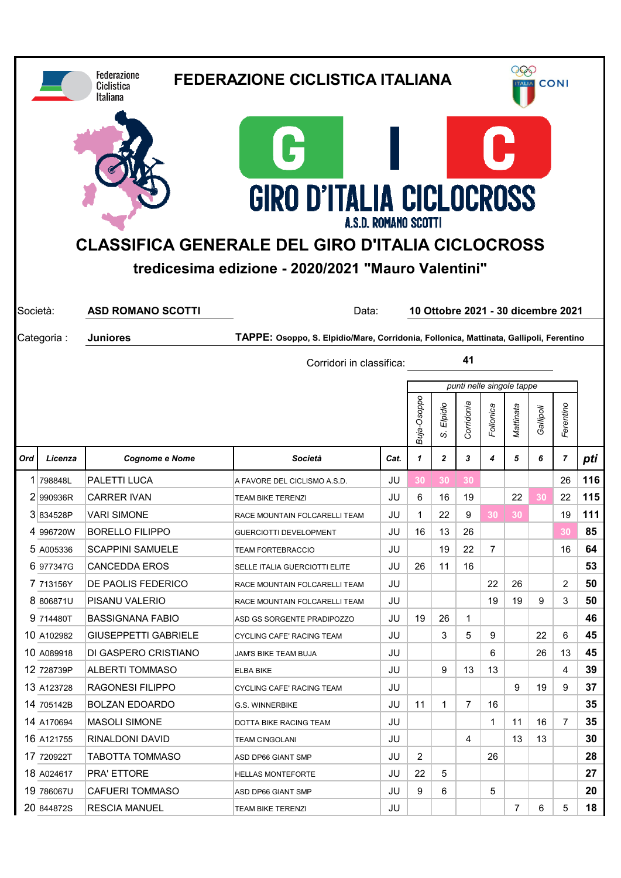|                                                                                                                                                                                                                                                                             |                                | <b>Federazione</b><br>Ciclistica<br><b>Italiana</b> | <b>FEDERAZIONE CICLISTICA ITALIANA</b>                                                 |      |             |                | 266<br><b>CONI</b><br><b>ALIA</b> |                |                           |           |                |     |  |
|-----------------------------------------------------------------------------------------------------------------------------------------------------------------------------------------------------------------------------------------------------------------------------|--------------------------------|-----------------------------------------------------|----------------------------------------------------------------------------------------|------|-------------|----------------|-----------------------------------|----------------|---------------------------|-----------|----------------|-----|--|
| C<br><b>GIRO D'ITALIA CICLOCROSS</b><br><b>A.S.D. ROMANO SCOTTI</b><br><b>CLASSIFICA GENERALE DEL GIRO D'ITALIA CICLOCROSS</b><br>tredicesima edizione - 2020/2021 "Mauro Valentini"<br>10 Ottobre 2021 - 30 dicembre 2021<br>Società:<br><b>ASD ROMANO SCOTTI</b><br>Data: |                                |                                                     |                                                                                        |      |             |                |                                   |                |                           |           |                |     |  |
|                                                                                                                                                                                                                                                                             | Categoria:                     | <b>Juniores</b>                                     | TAPPE: Osoppo, S. Elpidio/Mare, Corridonia, Follonica, Mattinata, Gallipoli, Ferentino |      |             |                |                                   |                |                           |           |                |     |  |
|                                                                                                                                                                                                                                                                             | 41<br>Corridori in classifica: |                                                     |                                                                                        |      |             |                |                                   |                |                           |           |                |     |  |
|                                                                                                                                                                                                                                                                             |                                |                                                     |                                                                                        |      |             |                |                                   |                | punti nelle singole tappe |           |                |     |  |
|                                                                                                                                                                                                                                                                             |                                |                                                     |                                                                                        |      | Buja-Osoppo | Elpidio<br>S   | Corridonia                        | Follonica      | Mattinata                 | Gallipoli | Ferentino      |     |  |
| Ord                                                                                                                                                                                                                                                                         | Licenza                        | <b>Cognome e Nome</b>                               | Società                                                                                | Cat. | 1           | $\overline{2}$ | 3                                 | 4              | 5                         | 6         | $\overline{ }$ | pti |  |
|                                                                                                                                                                                                                                                                             | 1 798848L                      | <b>PALETTI LUCA</b>                                 | A FAVORE DEL CICLISMO A.S.D.                                                           | JU   | 30          | 30             | 30                                |                |                           |           | 26             | 116 |  |
|                                                                                                                                                                                                                                                                             | 2 990936R                      | <b>CARRER IVAN</b>                                  | <b>TEAM BIKE TERENZI</b>                                                               | JU   | 6           | 16             | 19                                |                | 22                        | 30        | 22             | 115 |  |
|                                                                                                                                                                                                                                                                             | 3834528P                       | VARI SIMONE                                         | RACE MOUNTAIN FOLCARELLI TEAM                                                          | JU   | 1           | 22             | 9                                 | 30             | 30                        |           | 19             | 111 |  |
|                                                                                                                                                                                                                                                                             | 4 996720W                      | <b>BORELLO FILIPPO</b>                              | <b>GUERCIOTTI DEVELOPMENT</b>                                                          | JU   | 16          | 13             | 26                                |                |                           |           | 30             | 85  |  |
|                                                                                                                                                                                                                                                                             | 5 A005336                      | <b>SCAPPINI SAMUELE</b>                             | TEAM FORTEBRACCIO                                                                      | JU   |             | 19             | 22                                | $\overline{7}$ |                           |           | 16             | 64  |  |
|                                                                                                                                                                                                                                                                             | 6 977347G                      | <b>CANCEDDA EROS</b>                                | SELLE ITALIA GUERCIOTTI ELITE                                                          | JU   | 26          | 11             | 16                                |                |                           |           |                | 53  |  |
|                                                                                                                                                                                                                                                                             | 7 713156Y                      | <b>DE PAOLIS FEDERICO</b>                           | RACE MOUNTAIN FOLCARELLI TEAM                                                          | JU   |             |                |                                   | 22             | 26                        |           | 2              | 50  |  |
|                                                                                                                                                                                                                                                                             | 8 806871U                      | PISANU VALERIO                                      | RACE MOUNTAIN FOLCARELLI TEAM                                                          | JU   |             |                |                                   | 19             | 19                        | 9         | 3              | 50  |  |
|                                                                                                                                                                                                                                                                             | 9 714480T                      | <b>BASSIGNANA FABIO</b>                             | ASD GS SORGENTE PRADIPOZZO                                                             | JU   | 19          | 26             | 1                                 |                |                           |           |                | 46  |  |
|                                                                                                                                                                                                                                                                             | 10 A102982                     | <b>GIUSEPPETTI GABRIELE</b>                         | CYCLING CAFE' RACING TEAM                                                              | JU   |             | 3              | 5                                 | 9              |                           | 22        | 6              | 45  |  |
|                                                                                                                                                                                                                                                                             | 10 A089918                     | DI GASPERO CRISTIANO                                | JAM'S BIKE TEAM BUJA                                                                   | JU   |             |                |                                   | 6              |                           | 26        | 13             | 45  |  |
|                                                                                                                                                                                                                                                                             | 12 728739P                     | <b>ALBERTI TOMMASO</b>                              | <b>ELBA BIKE</b>                                                                       | JU   |             | 9              | 13                                | 13             |                           |           | 4              | 39  |  |
|                                                                                                                                                                                                                                                                             | 13 A123728                     | RAGONESI FILIPPO                                    | CYCLING CAFE' RACING TEAM                                                              | JU   |             |                |                                   |                | 9                         | 19        | 9              | 37  |  |
|                                                                                                                                                                                                                                                                             | 14 705142B                     | <b>BOLZAN EDOARDO</b>                               | G.S. WINNERBIKE                                                                        | JU   | 11          | $\mathbf{1}$   | 7                                 | 16             |                           |           |                | 35  |  |
|                                                                                                                                                                                                                                                                             | 14 A170694                     | <b>MASOLI SIMONE</b>                                | DOTTA BIKE RACING TEAM                                                                 | JU   |             |                |                                   | $\mathbf{1}$   | 11                        | 16        | 7              | 35  |  |
|                                                                                                                                                                                                                                                                             | 16 A121755                     | RINALDONI DAVID                                     | <b>TEAM CINGOLANI</b>                                                                  | JU   |             |                | 4                                 |                | 13                        | 13        |                | 30  |  |
|                                                                                                                                                                                                                                                                             | 17 720922T                     | <b>TABOTTA TOMMASO</b>                              | ASD DP66 GIANT SMP                                                                     | JU   | 2           |                |                                   | 26             |                           |           |                | 28  |  |
|                                                                                                                                                                                                                                                                             | 18 A024617                     | PRA' ETTORE                                         | <b>HELLAS MONTEFORTE</b>                                                               | JU   | 22          | 5              |                                   |                |                           |           |                | 27  |  |
|                                                                                                                                                                                                                                                                             | 19 786067U<br>20 844872S       | <b>CAFUERI TOMMASO</b>                              | ASD DP66 GIANT SMP                                                                     | JU   | 9           | 6              |                                   | 5              |                           |           |                | 20  |  |
|                                                                                                                                                                                                                                                                             |                                | <b>RESCIA MANUEL</b>                                | <b>TEAM BIKE TERENZI</b>                                                               | JU   |             |                |                                   |                | $\overline{7}$            | 6         | 5              | 18  |  |